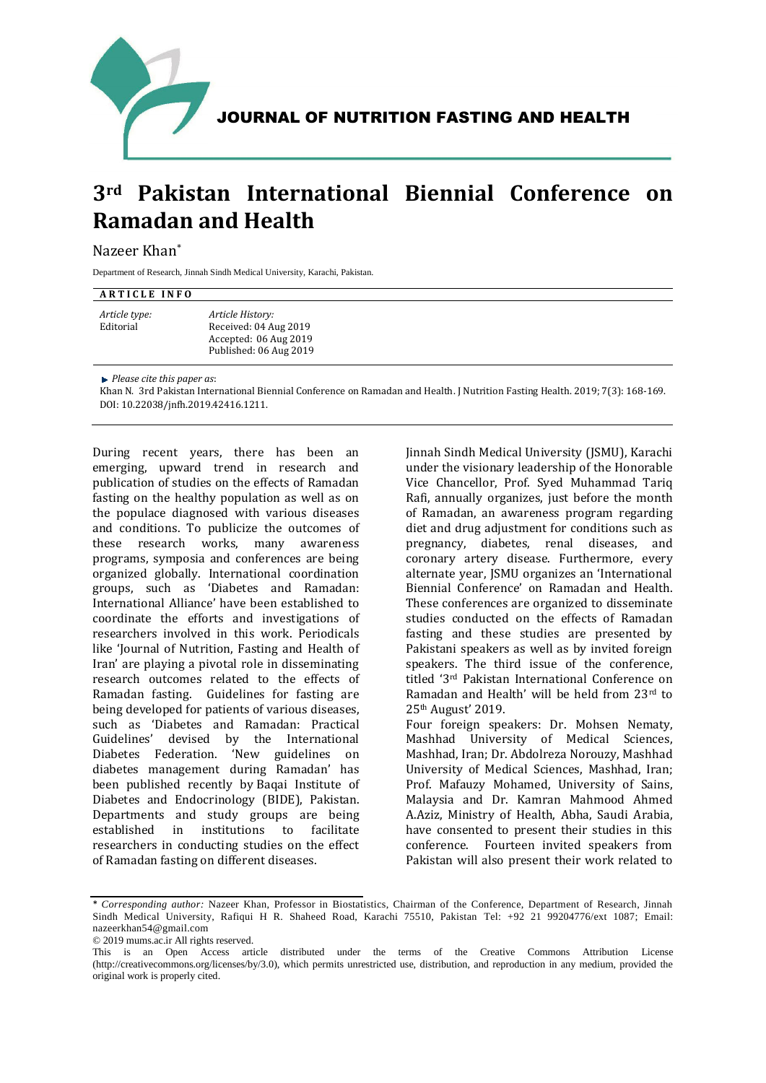

JOURNAL OF NUTRITION FASTING AND HEALTH

## **3rd Pakistan International Biennial Conference on Ramadan and Health**

## Nazeer Khan\*

Department of Research, Jinnah Sindh Medical University, Karachi, Pakistan.

## **ARTICLE INFO**

*Article type:* Editorial *Article History:* Received: 04 Aug 2019 Accepted: 06 Aug 2019 Published: 06 Aug 2019

*Please cite this paper as*:

Khan N. 3rd Pakistan International Biennial Conference on Ramadan and Health. J Nutrition Fasting Health. 2019; 7(3): 168-169. DOI: 10.22038/jnfh.2019.42416.1211.

During recent years, there has been an emerging, upward trend in research and publication of studies on the effects of Ramadan fasting on the healthy population as well as on the populace diagnosed with various diseases and conditions. To publicize the outcomes of these research works, many awareness programs, symposia and conferences are being organized globally. International coordination groups, such as 'Diabetes and Ramadan: International Alliance' have been established to coordinate the efforts and investigations of researchers involved in this work. Periodicals like 'Journal of Nutrition, Fasting and Health of Iran' are playing a pivotal role in disseminating research outcomes related to the effects of Ramadan fasting. Guidelines for fasting are being developed for patients of various diseases, such as 'Diabetes and Ramadan: Practical Guidelines' devised by the International Diabetes Federation. 'New guidelines on diabetes management during Ramadan' has been published recently by Baqai Institute of Diabetes and Endocrinology (BIDE), Pakistan. Departments and study groups are being established in institutions to facilitate researchers in conducting studies on the effect of Ramadan fasting on different diseases.

Jinnah Sindh Medical University (JSMU), Karachi under the visionary leadership of the Honorable Vice Chancellor, Prof. Syed Muhammad Tariq Rafi, annually organizes, just before the month of Ramadan, an awareness program regarding diet and drug adjustment for conditions such as pregnancy, diabetes, renal diseases, and coronary artery disease. Furthermore, every alternate year, JSMU organizes an 'International Biennial Conference' on Ramadan and Health. These conferences are organized to disseminate studies conducted on the effects of Ramadan fasting and these studies are presented by Pakistani speakers as well as by invited foreign speakers. The third issue of the conference, titled '3rd Pakistan International Conference on Ramadan and Health' will be held from 23rd to 25th August' 2019. Four foreign speakers: Dr. Mohsen Nematy, Mashhad University of Medical Sciences, Mashhad, Iran; Dr. Abdolreza Norouzy, Mashhad

University of Medical Sciences, Mashhad, Iran; Prof. Mafauzy Mohamed, University of Sains, Malaysia and Dr. Kamran Mahmood Ahmed A.Aziz, Ministry of Health, Abha, Saudi Arabia, have consented to present their studies in this conference. Fourteen invited speakers from Pakistan will also present their work related to

<sup>\*</sup> *Corresponding author:* Nazeer Khan, Professor in Biostatistics, Chairman of the Conference, Department of Research, Jinnah Sindh Medical University, Rafiqui H R. Shaheed Road, Karachi 75510, Pakistan Tel: +92 21 99204776/ext 1087; Email: nazeerkhan54@gmail.com

<sup>© 2019</sup> mums.ac.ir All rights reserved.

This is an Open Access article distributed under the terms of the Creative Commons Attribution License (http://creativecommons.org/licenses/by/3.0), which permits unrestricted use, distribution, and reproduction in any medium, provided the original work is properly cited.